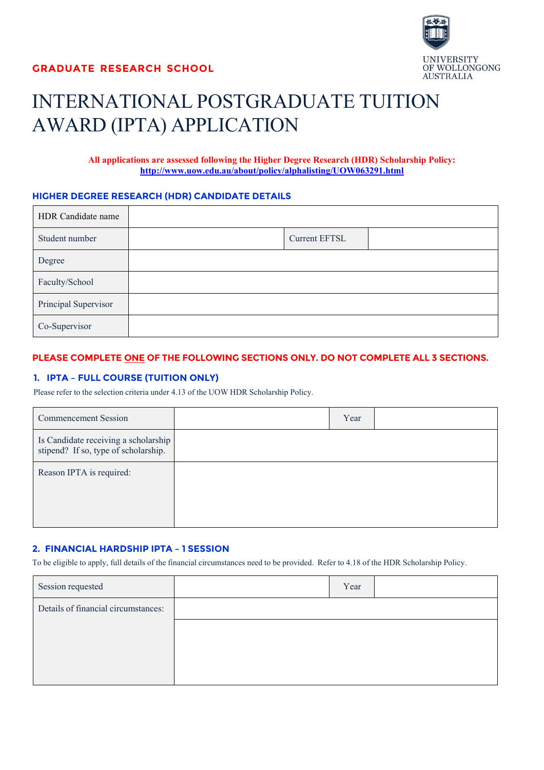

# INTERNATIONAL POSTGRADUATE TUITION AWARD (IPTA) APPLICATION

**All applications are assessed following the Higher Degree Research (HDR) Scholarship Policy: <http://www.uow.edu.au/about/policy/alphalisting/UOW063291.html>**

## **HIGHER DEGREE RESEARCH (HDR) CANDIDATE DETAILS**

| HDR Candidate name   |               |  |
|----------------------|---------------|--|
| Student number       | Current EFTSL |  |
| Degree               |               |  |
| Faculty/School       |               |  |
| Principal Supervisor |               |  |
| Co-Supervisor        |               |  |

# **PLEASE COMPLETE ONE OF THE FOLLOWING SECTIONS ONLY. DO NOT COMPLETE ALL 3 SECTIONS.**

# **1. IPTA – FULL COURSE (TUITION ONLY)**

Please refer to the selection criteria under 4.13 of the UOW HDR Scholarship Policy.

| <b>Commencement Session</b>                                                  | Year |  |
|------------------------------------------------------------------------------|------|--|
| Is Candidate receiving a scholarship<br>stipend? If so, type of scholarship. |      |  |
| Reason IPTA is required:                                                     |      |  |

## **2. FINANCIAL HARDSHIP IPTA – 1 SESSION**

To be eligible to apply, full details of the financial circumstances need to be provided. Refer to 4.18 of the HDR Scholarship Policy.

| Session requested                   | Year |  |
|-------------------------------------|------|--|
| Details of financial circumstances: |      |  |
|                                     |      |  |
|                                     |      |  |
|                                     |      |  |